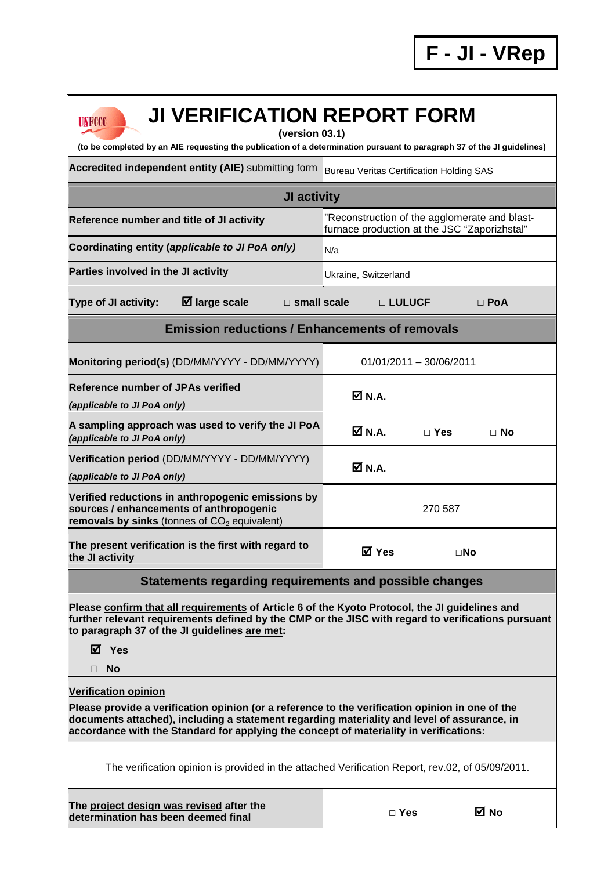| <b>JI VERIFICATION REPORT FORM</b><br>UNFCCC<br>(version 03.1)                                                                                                                                                                                                                                                          |                                                                                               |            |              |  |  |  |  |
|-------------------------------------------------------------------------------------------------------------------------------------------------------------------------------------------------------------------------------------------------------------------------------------------------------------------------|-----------------------------------------------------------------------------------------------|------------|--------------|--|--|--|--|
| (to be completed by an AIE requesting the publication of a determination pursuant to paragraph 37 of the JI guidelines)                                                                                                                                                                                                 |                                                                                               |            |              |  |  |  |  |
| Accredited independent entity (AIE) submitting form                                                                                                                                                                                                                                                                     | <b>Bureau Veritas Certification Holding SAS</b>                                               |            |              |  |  |  |  |
| JI activity                                                                                                                                                                                                                                                                                                             |                                                                                               |            |              |  |  |  |  |
| Reference number and title of JI activity                                                                                                                                                                                                                                                                               | "Reconstruction of the agglomerate and blast-<br>furnace production at the JSC "Zaporizhstal" |            |              |  |  |  |  |
| Coordinating entity (applicable to JI PoA only)                                                                                                                                                                                                                                                                         | N/a                                                                                           |            |              |  |  |  |  |
| Parties involved in the JI activity                                                                                                                                                                                                                                                                                     | Ukraine, Switzerland                                                                          |            |              |  |  |  |  |
| $\boxtimes$ large scale<br>Type of JI activity:<br>$\square$ small scale                                                                                                                                                                                                                                                |                                                                                               | □ LULUCF   | $\Box$ PoA   |  |  |  |  |
| <b>Emission reductions / Enhancements of removals</b>                                                                                                                                                                                                                                                                   |                                                                                               |            |              |  |  |  |  |
| Monitoring period(s) (DD/MM/YYYY - DD/MM/YYYY)                                                                                                                                                                                                                                                                          | $01/01/2011 - 30/06/2011$                                                                     |            |              |  |  |  |  |
| <b>Reference number of JPAs verified</b><br>(applicable to JI PoA only)                                                                                                                                                                                                                                                 | Ø N.A.                                                                                        |            |              |  |  |  |  |
| A sampling approach was used to verify the JI PoA<br>(applicable to JI PoA only)                                                                                                                                                                                                                                        | ØN.A.                                                                                         | $\Box$ Yes | $\Box$ No    |  |  |  |  |
| Verification period (DD/MM/YYYY - DD/MM/YYYY)<br>(applicable to JI PoA only)                                                                                                                                                                                                                                            | $\boxtimes$ N.A.                                                                              |            |              |  |  |  |  |
| Verified reductions in anthropogenic emissions by<br>sources / enhancements of anthropogenic<br>removals by sinks (tonnes of $CO2$ equivalent)                                                                                                                                                                          | 270 587                                                                                       |            |              |  |  |  |  |
| The present verification is the first with regard to<br>the JI activity                                                                                                                                                                                                                                                 | M Yes                                                                                         |            | $\square$ No |  |  |  |  |
| <b>Statements regarding requirements and possible changes</b>                                                                                                                                                                                                                                                           |                                                                                               |            |              |  |  |  |  |
| Please confirm that all requirements of Article 6 of the Kyoto Protocol, the JI guidelines and<br>further relevant requirements defined by the CMP or the JISC with regard to verifications pursuant<br>to paragraph 37 of the JI guidelines are met:<br>$\boxtimes$ Yes<br><b>No</b>                                   |                                                                                               |            |              |  |  |  |  |
|                                                                                                                                                                                                                                                                                                                         |                                                                                               |            |              |  |  |  |  |
| <b>Verification opinion</b><br>Please provide a verification opinion (or a reference to the verification opinion in one of the<br>documents attached), including a statement regarding materiality and level of assurance, in<br>accordance with the Standard for applying the concept of materiality in verifications: |                                                                                               |            |              |  |  |  |  |
| The verification opinion is provided in the attached Verification Report, rev.02, of 05/09/2011.                                                                                                                                                                                                                        |                                                                                               |            |              |  |  |  |  |
| The project design was revised after the<br>determination has been deemed final                                                                                                                                                                                                                                         |                                                                                               | $\Box$ Yes | ⊠ No         |  |  |  |  |